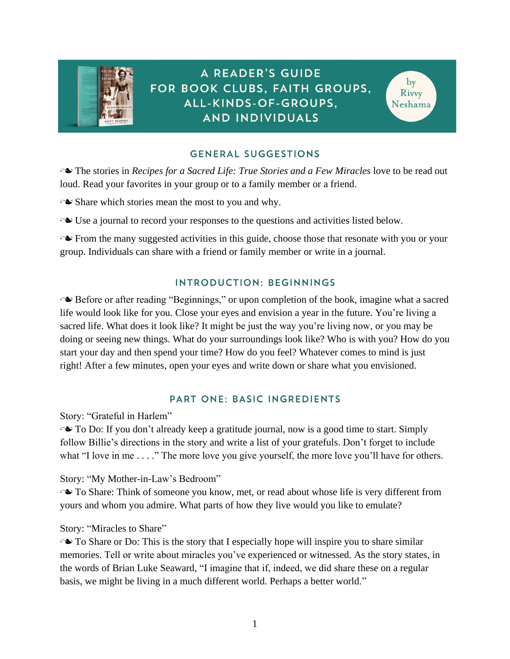

# **GENERAL SUGGESTIONS**

**■** The stories in *Recipes for a Sacred Life: True Stories and a Few Miracles* love to be read out loud. Read your favorites in your group or to a family member or a friend.

 $\sim$  Share which stories mean the most to you and why.

 $\sim$  Use a journal to record your responses to the questions and activities listed below.

• From the many suggested activities in this guide, choose those that resonate with you or your group. Individuals can share with a friend or family member or write in a journal.

# INTRODUCTION: BEGINNINGS

↑ Before or after reading "Beginnings," or upon completion of the book, imagine what a sacred life would look like for you. Close your eyes and envision a year in the future. You're living a sacred life. What does it look like? It might be just the way you're living now, or you may be doing or seeing new things. What do your surroundings look like? Who is with you? How do you start your day and then spend your time? How do you feel? Whatever comes to mind is just right! After a few minutes, open your eyes and write down or share what you envisioned.

# PART ONE: BASIC INGREDIENTS

Story: "Grateful in Harlem"

• To Do: If you don't already keep a gratitude journal, now is a good time to start. Simply follow Billie's directions in the story and write a list of your gratefuls. Don't forget to include what "I love in me . . . ." The more love you give yourself, the more love you'll have for others.

Story: "My Mother-in-Law's Bedroom"

**■** To Share: Think of someone you know, met, or read about whose life is very different from yours and whom you admire. What parts of how they live would you like to emulate?

### Story: "Miracles to Share"

 $\sim$  To Share or Do: This is the story that I especially hope will inspire you to share similar memories. Tell or write about miracles you've experienced or witnessed. As the story states, in the words of Brian Luke Seaward, "I imagine that if, indeed, we did share these on a regular basis, we might be living in a much different world. Perhaps a better world."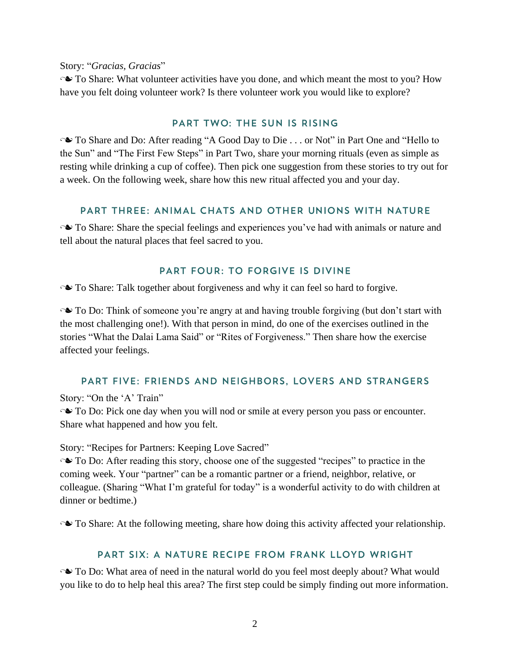Story: "*Gracias, Gracias*"

• To Share: What volunteer activities have you done, and which meant the most to you? How have you felt doing volunteer work? Is there volunteer work you would like to explore?

#### PART TWO: THE SUN IS RISING

• To Share and Do: After reading "A Good Day to Die . . . or Not" in Part One and "Hello to the Sun" and "The First Few Steps" in Part Two, share your morning rituals (even as simple as resting while drinking a cup of coffee). Then pick one suggestion from these stories to try out for a week. On the following week, share how this new ritual affected you and your day.

### PART THREE: ANIMAL CHATS AND OTHER UNIONS WITH NATURE

**No** To Share: Share the special feelings and experiences you've had with animals or nature and tell about the natural places that feel sacred to you.

# **PART FOUR: TO FORGIVE IS DIVINE**

• To Share: Talk together about forgiveness and why it can feel so hard to forgive.

• To Do: Think of someone you're angry at and having trouble forgiving (but don't start with the most challenging one!). With that person in mind, do one of the exercises outlined in the stories "What the Dalai Lama Said" or "Rites of Forgiveness." Then share how the exercise affected your feelings.

### PART FIVE: FRIENDS AND NEIGHBORS, LOVERS AND STRANGERS

Story: "On the 'A' Train"

• To Do: Pick one day when you will nod or smile at every person you pass or encounter. Share what happened and how you felt.

Story: "Recipes for Partners: Keeping Love Sacred"

• To Do: After reading this story, choose one of the suggested "recipes" to practice in the coming week. Your "partner" can be a romantic partner or a friend, neighbor, relative, or colleague. (Sharing "What I'm grateful for today" is a wonderful activity to do with children at dinner or bedtime.)

• To Share: At the following meeting, share how doing this activity affected your relationship.

### PART SIX: A NATURE RECIPE FROM FRANK LLOYD WRIGHT

• To Do: What area of need in the natural world do you feel most deeply about? What would you like to do to help heal this area? The first step could be simply finding out more information.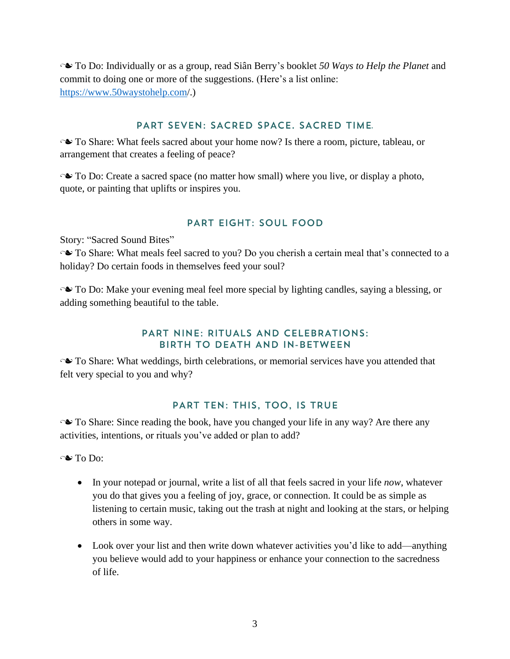n To Do: Individually or as a group, read Siân Berry's booklet *50 Ways to Help the Planet* and commit to doing one or more of the suggestions. (Here's a list online: <https://www.50waystohelp.com/>.)

#### **PART SEVEN: SACRED SPACE, SACRED TIME.**

• To Share: What feels sacred about your home now? Is there a room, picture, tableau, or arrangement that creates a feeling of peace?

**■** To Do: Create a sacred space (no matter how small) where you live, or display a photo, quote, or painting that uplifts or inspires you.

# **PART EIGHT: SOUL FOOD**

Story: "Sacred Sound Bites"

• To Share: What meals feel sacred to you? Do you cherish a certain meal that's connected to a holiday? Do certain foods in themselves feed your soul?

• To Do: Make your evening meal feel more special by lighting candles, saying a blessing, or adding something beautiful to the table.

### **PART NINE: RITUALS AND CELEBRATIONS:** BIRTH TO DEATH AND IN-BETWEEN

• To Share: What weddings, birth celebrations, or memorial services have you attended that felt very special to you and why?

# PART TEN: THIS, TOO, IS TRUE

• To Share: Since reading the book, have you changed your life in any way? Are there any activities, intentions, or rituals you've added or plan to add?

 $\sim$  To Do:

- In your notepad or journal, write a list of all that feels sacred in your life *now*, whatever you do that gives you a feeling of joy, grace, or connection. It could be as simple as listening to certain music, taking out the trash at night and looking at the stars, or helping others in some way.
- Look over your list and then write down whatever activities you'd like to add—anything you believe would add to your happiness or enhance your connection to the sacredness of life.